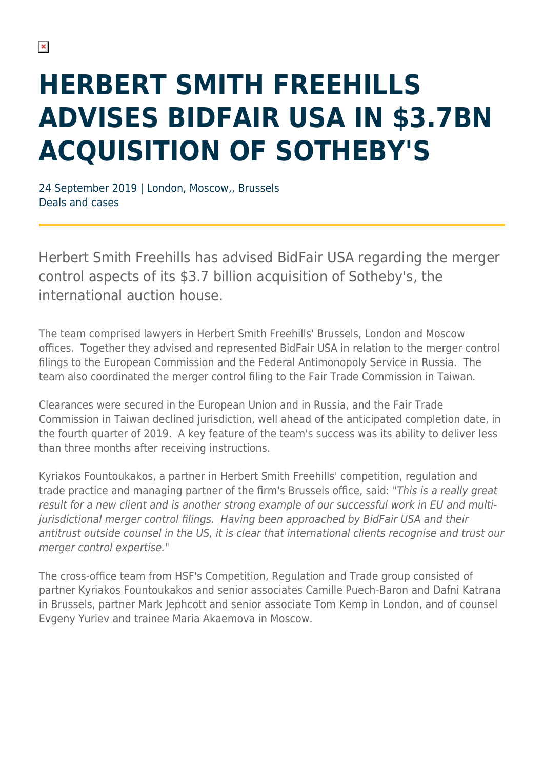## **HERBERT SMITH FREEHILLS ADVISES BIDFAIR USA IN \$3.7BN ACQUISITION OF SOTHEBY'S**

24 September 2019 | London, Moscow,, Brussels Deals and cases

Herbert Smith Freehills has advised BidFair USA regarding the merger control aspects of its \$3.7 billion acquisition of Sotheby's, the international auction house.

The team comprised lawyers in Herbert Smith Freehills' Brussels, London and Moscow offices. Together they advised and represented BidFair USA in relation to the merger control filings to the European Commission and the Federal Antimonopoly Service in Russia. The team also coordinated the merger control filing to the Fair Trade Commission in Taiwan.

Clearances were secured in the European Union and in Russia, and the Fair Trade Commission in Taiwan declined jurisdiction, well ahead of the anticipated completion date, in the fourth quarter of 2019. A key feature of the team's success was its ability to deliver less than three months after receiving instructions.

Kyriakos Fountoukakos, a partner in Herbert Smith Freehills' competition, regulation and trade practice and managing partner of the firm's Brussels office, said: "This is a really great result for a new client and is another strong example of our successful work in EU and multijurisdictional merger control filings. Having been approached by BidFair USA and their antitrust outside counsel in the US, it is clear that international clients recognise and trust our merger control expertise."

The cross-office team from HSF's Competition, Regulation and Trade group consisted of partner Kyriakos Fountoukakos and senior associates Camille Puech-Baron and Dafni Katrana in Brussels, partner Mark Jephcott and senior associate Tom Kemp in London, and of counsel Evgeny Yuriev and trainee Maria Akaemova in Moscow.